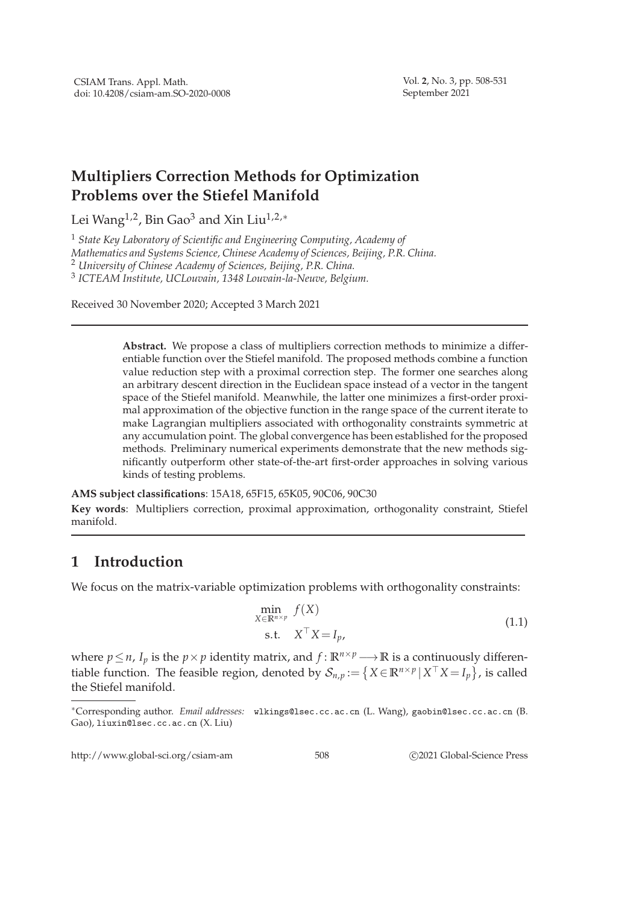## **Multipliers Correction Methods for Optimization Problems over the Stiefel Manifold**

Lei Wang<sup>1,2</sup>, Bin Gao<sup>3</sup> and Xin Liu<sup>1,2,\*</sup>

 *State Key Laboratory of Scientific and Engineering Computing, Academy of Mathematics and Systems Science, Chinese Academy of Sciences, Beijing, P.R. China. University of Chinese Academy of Sciences, Beijing, P.R. China. ICTEAM Institute, UCLouvain, 1348 Louvain-la-Neuve, Belgium.*

Received 30 November 2020; Accepted 3 March 2021

**Abstract.** We propose a class of multipliers correction methods to minimize a differentiable function over the Stiefel manifold. The proposed methods combine a function value reduction step with a proximal correction step. The former one searches along an arbitrary descent direction in the Euclidean space instead of a vector in the tangent space of the Stiefel manifold. Meanwhile, the latter one minimizes a first-order proximal approximation of the objective function in the range space of the current iterate to make Lagrangian multipliers associated with orthogonality constraints symmetric at any accumulation point. The global convergence has been established for the proposed methods. Preliminary numerical experiments demonstrate that the new methods significantly outperform other state-of-the-art first-order approaches in solving various kinds of testing problems.

**AMS subject classifications**: 15A18, 65F15, 65K05, 90C06, 90C30

**Key words**: Multipliers correction, proximal approximation, orthogonality constraint, Stiefel manifold.

## **1 Introduction**

We focus on the matrix-variable optimization problems with orthogonality constraints:

$$
\min_{X \in \mathbb{R}^{n \times p}} f(X)
$$
  
s.t.  $X^{\top} X = I_p$ , (1.1)

where  $p \le n$ ,  $I_p$  is the  $p \times p$  identity matrix, and  $f : \mathbb{R}^{n \times p} \longrightarrow \mathbb{R}$  is a continuously differentiable function. The feasible region, denoted by  $S_{n,p} := \{ X \in \mathbb{R}^{n \times p} | X^{\top} X = I_p \}$ , is called the Stiefel manifold.

http://www.global-sci.org/csiam-am 508 c 2021 Global-Science Press

<sup>∗</sup>Corresponding author. *Email addresses:* wlkings@lsec.cc.ac.cn (L. Wang), gaobin@lsec.cc.ac.cn (B. Gao), liuxin@lsec.cc.ac.cn (X. Liu)